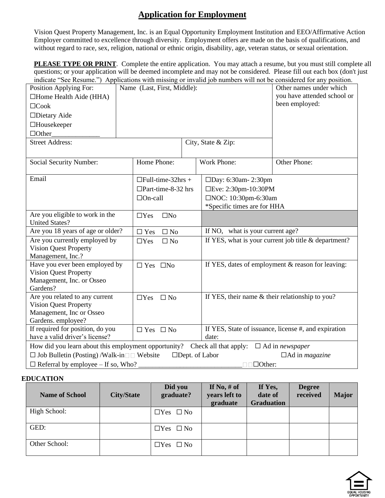## **Application for Employment**

Vision Quest Property Management, Inc. is an Equal Opportunity Employment Institution and EEO/Affirmative Action Employer committed to excellence through diversity. Employment offers are made on the basis of qualifications, and without regard to race, sex, religion, national or ethnic origin, disability, age, veteran status, or sexual orientation.

**PLEASE TYPE OR PRINT**. Complete the entire application. You may attach a resume, but you must still complete all questions; or your application will be deemed incomplete and may not be considered. Please fill out each box (don't just indicate "See Resume.") Applications with missing or invalid job numbers will not be considered for any position.

| Position Applying For:<br>$\Box$ Home Health Aide (HHA)<br>$\Box$ Cook<br>$\Box$ Dietary Aide<br>$\Box$ Housekeeper<br>$\Box$ Other                                                                                                                                                             |  | Name (Last, First, Middle):                                             |                                                               |                                                   | marcule "See Resume." Tappheutions while imsome of invaria for numbers will not be considered for any position.<br>Other names under which<br>you have attended school or<br>been employed: |  |  |
|-------------------------------------------------------------------------------------------------------------------------------------------------------------------------------------------------------------------------------------------------------------------------------------------------|--|-------------------------------------------------------------------------|---------------------------------------------------------------|---------------------------------------------------|---------------------------------------------------------------------------------------------------------------------------------------------------------------------------------------------|--|--|
| <b>Street Address:</b>                                                                                                                                                                                                                                                                          |  |                                                                         |                                                               | City, State & Zip:                                |                                                                                                                                                                                             |  |  |
| Social Security Number:                                                                                                                                                                                                                                                                         |  | Home Phone:                                                             |                                                               | Work Phone:                                       | Other Phone:                                                                                                                                                                                |  |  |
| Email                                                                                                                                                                                                                                                                                           |  | $\Box$ Full-time-32hrs +<br>$\Box$ Part-time-8-32 hrs<br>$\Box$ On-call |                                                               |                                                   | $\square$ Day: 6:30am - 2:30pm<br>□Eve: 2:30pm-10:30PM<br>□NOC: 10:30pm-6:30am<br>*Specific times are for HHA                                                                               |  |  |
| Are you eligible to work in the<br><b>United States?</b>                                                                                                                                                                                                                                        |  | $\square$ No<br>$\Box$ Yes                                              |                                                               |                                                   |                                                                                                                                                                                             |  |  |
| Are you 18 years of age or older?                                                                                                                                                                                                                                                               |  | $\Box$ No<br>$\Box$ Yes                                                 |                                                               | If NO, what is your current age?                  |                                                                                                                                                                                             |  |  |
| Are you currently employed by<br><b>Vision Quest Property</b><br>Management, Inc.?                                                                                                                                                                                                              |  | $\Box$ Yes<br>$\Box$ No                                                 |                                                               |                                                   | If YES, what is your current job title $&$ department?                                                                                                                                      |  |  |
| Have you ever been employed by<br><b>Vision Quest Property</b><br>Management, Inc. or Osseo<br>Gardens?                                                                                                                                                                                         |  | $\Box$ Yes $\Box$ No                                                    |                                                               | If YES, dates of employment & reason for leaving: |                                                                                                                                                                                             |  |  |
| Are you related to any current<br><b>Vision Quest Property</b><br>Management, Inc or Osseo<br>Gardens. employee?                                                                                                                                                                                |  | $\Box$ Yes<br>$\square$ No                                              |                                                               | If YES, their name & their relationship to you?   |                                                                                                                                                                                             |  |  |
| If required for position, do you<br>$\Box$ Yes $\Box$ No<br>have a valid driver's license?                                                                                                                                                                                                      |  |                                                                         | If YES, State of issuance, license #, and expiration<br>date: |                                                   |                                                                                                                                                                                             |  |  |
| How did you learn about this employment opportunity? Check all that apply: $\Box$ Ad in <i>newspaper</i><br>$\Box$ Job Bulletin (Posting) /Walk-in $\Box$ Website<br>$\Box$ Dept. of Labor<br>$\Box$ Ad in <i>magazine</i><br>$\Box$ Referral by employee – If so, Who?<br>$\Box$ $\Box$ Other: |  |                                                                         |                                                               |                                                   |                                                                                                                                                                                             |  |  |
|                                                                                                                                                                                                                                                                                                 |  |                                                                         |                                                               |                                                   |                                                                                                                                                                                             |  |  |

## **EDUCATION**

| <b>Name of School</b> | <b>City/State</b> | Did you<br>graduate? | If No, $#$ of<br>years left to<br>graduate | If Yes,<br>date of<br><b>Graduation</b> | <b>Degree</b><br>received | <b>Major</b> |
|-----------------------|-------------------|----------------------|--------------------------------------------|-----------------------------------------|---------------------------|--------------|
| High School:          |                   | $\Box$ Yes $\Box$ No |                                            |                                         |                           |              |
| GED:                  |                   | $\Box$ Yes $\Box$ No |                                            |                                         |                           |              |
| Other School:         |                   | $\Box$ Yes $\Box$ No |                                            |                                         |                           |              |

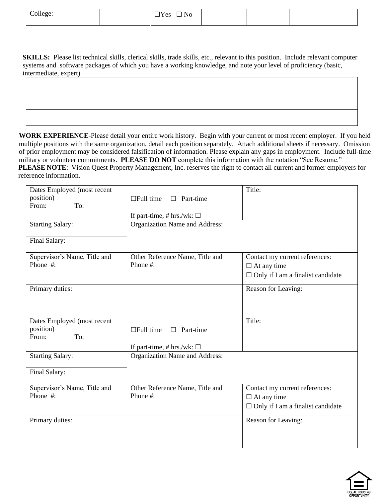| College: | $\Box$ No<br>$\Box$ Yes<br>$\cdots$ |  |  |
|----------|-------------------------------------|--|--|
|          |                                     |  |  |

**SKILLS:** Please list technical skills, clerical skills, trade skills, etc., relevant to this position. Include relevant computer systems and software packages of which you have a working knowledge, and note your level of proficiency (basic, intermediate, expert)

WORK EXPERIENCE-Please detail your entire work history. Begin with your current or most recent employer. If you held multiple positions with the same organization, detail each position separately. Attach additional sheets if necessary. Omission of prior employment may be considered falsification of information. Please explain any gaps in employment. Include full-time military or volunteer commitments. **PLEASE DO NOT** complete this information with the notation "See Resume." **PLEASE NOTE:** Vision Quest Property Management, Inc. reserves the right to contact all current and former employers for reference information.

| Dates Employed (most recent<br>position) | $\Box$ Full time<br>Part-time<br>$\Box$ | Title:                                   |
|------------------------------------------|-----------------------------------------|------------------------------------------|
| From:<br>To:                             |                                         |                                          |
|                                          | If part-time, # hrs./wk: $\Box$         |                                          |
| <b>Starting Salary:</b>                  | Organization Name and Address:          |                                          |
| Final Salary:                            |                                         |                                          |
| Supervisor's Name, Title and             | Other Reference Name, Title and         | Contact my current references:           |
| Phone #:                                 | Phone #:                                | $\Box$ At any time                       |
|                                          |                                         | $\Box$ Only if I am a finalist candidate |
| Primary duties:                          |                                         | Reason for Leaving:                      |
|                                          |                                         |                                          |
|                                          |                                         |                                          |
| Dates Employed (most recent              |                                         | Title:                                   |
| position)<br>From:<br>To:                | $\Box$ Full time<br>Part-time           |                                          |
|                                          | If part-time, # hrs./wk: $\Box$         |                                          |
| <b>Starting Salary:</b>                  | Organization Name and Address:          |                                          |
| Final Salary:                            |                                         |                                          |
|                                          |                                         |                                          |
| Supervisor's Name, Title and             | Other Reference Name, Title and         | Contact my current references:           |
| Phone #:                                 | Phone #:                                | $\Box$ At any time                       |
|                                          |                                         | $\Box$ Only if I am a finalist candidate |
| Primary duties:                          |                                         | Reason for Leaving:                      |
|                                          |                                         |                                          |
|                                          |                                         |                                          |